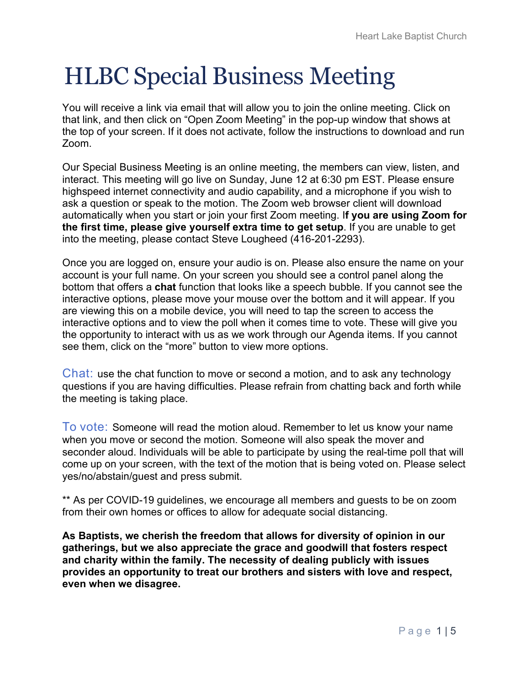# HLBC Special Business Meeting

You will receive a link via email that will allow you to join the online meeting. Click on that link, and then click on "Open Zoom Meeting" in the pop-up window that shows at the top of your screen. If it does not activate, follow the instructions to download and run Zoom.

Our Special Business Meeting is an online meeting, the members can view, listen, and interact. This meeting will go live on Sunday, June 12 at 6:30 pm EST. Please ensure highspeed internet connectivity and audio capability, and a microphone if you wish to ask a question or speak to the motion. The Zoom web browser client will download automatically when you start or join your first Zoom meeting. I**f you are using Zoom for the first time, please give yourself extra time to get setup**. If you are unable to get into the meeting, please contact Steve Lougheed (416-201-2293).

Once you are logged on, ensure your audio is on. Please also ensure the name on your account is your full name. On your screen you should see a control panel along the bottom that offers a **chat** function that looks like a speech bubble. If you cannot see the interactive options, please move your mouse over the bottom and it will appear. If you are viewing this on a mobile device, you will need to tap the screen to access the interactive options and to view the poll when it comes time to vote. These will give you the opportunity to interact with us as we work through our Agenda items. If you cannot see them, click on the "more" button to view more options.

Chat: use the chat function to move or second a motion, and to ask any technology questions if you are having difficulties. Please refrain from chatting back and forth while the meeting is taking place.

To vote: Someone will read the motion aloud. Remember to let us know your name when you move or second the motion. Someone will also speak the mover and seconder aloud. Individuals will be able to participate by using the real-time poll that will come up on your screen, with the text of the motion that is being voted on. Please select yes/no/abstain/guest and press submit.

\*\* As per COVID-19 guidelines, we encourage all members and guests to be on zoom from their own homes or offices to allow for adequate social distancing.

**As Baptists, we cherish the freedom that allows for diversity of opinion in our gatherings, but we also appreciate the grace and goodwill that fosters respect and charity within the family. The necessity of dealing publicly with issues provides an opportunity to treat our brothers and sisters with love and respect, even when we disagree.**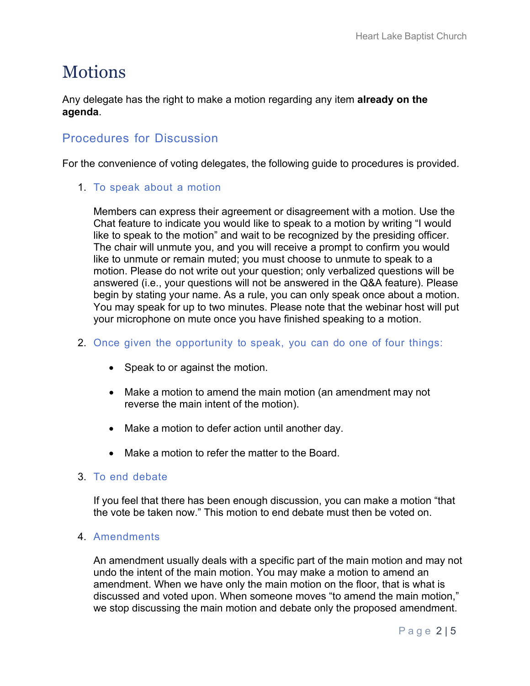### Motions

Any delegate has the right to make a motion regarding any item **already on the agenda**.

### Procedures for Discussion

For the convenience of voting delegates, the following guide to procedures is provided.

1. To speak about a motion

Members can express their agreement or disagreement with a motion. Use the Chat feature to indicate you would like to speak to a motion by writing "I would like to speak to the motion" and wait to be recognized by the presiding officer. The chair will unmute you, and you will receive a prompt to confirm you would like to unmute or remain muted; you must choose to unmute to speak to a motion. Please do not write out your question; only verbalized questions will be answered (i.e., your questions will not be answered in the Q&A feature). Please begin by stating your name. As a rule, you can only speak once about a motion. You may speak for up to two minutes. Please note that the webinar host will put your microphone on mute once you have finished speaking to a motion.

- 2. Once given the opportunity to speak, you can do one of four things:
	- Speak to or against the motion.
	- Make a motion to amend the main motion (an amendment may not reverse the main intent of the motion).
	- Make a motion to defer action until another day.
	- Make a motion to refer the matter to the Board.

### 3. To end debate

If you feel that there has been enough discussion, you can make a motion "that the vote be taken now." This motion to end debate must then be voted on.

#### 4. Amendments

An amendment usually deals with a specific part of the main motion and may not undo the intent of the main motion. You may make a motion to amend an amendment. When we have only the main motion on the floor, that is what is discussed and voted upon. When someone moves "to amend the main motion," we stop discussing the main motion and debate only the proposed amendment.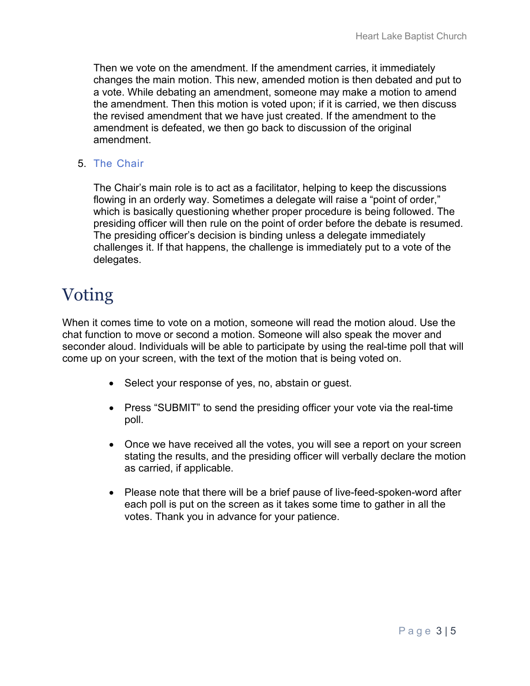Then we vote on the amendment. If the amendment carries, it immediately changes the main motion. This new, amended motion is then debated and put to a vote. While debating an amendment, someone may make a motion to amend the amendment. Then this motion is voted upon; if it is carried, we then discuss the revised amendment that we have just created. If the amendment to the amendment is defeated, we then go back to discussion of the original amendment.

### 5. The Chair

The Chair's main role is to act as a facilitator, helping to keep the discussions flowing in an orderly way. Sometimes a delegate will raise a "point of order," which is basically questioning whether proper procedure is being followed. The presiding officer will then rule on the point of order before the debate is resumed. The presiding officer's decision is binding unless a delegate immediately challenges it. If that happens, the challenge is immediately put to a vote of the delegates.

## Voting

When it comes time to vote on a motion, someone will read the motion aloud. Use the chat function to move or second a motion. Someone will also speak the mover and seconder aloud. Individuals will be able to participate by using the real-time poll that will come up on your screen, with the text of the motion that is being voted on.

- Select your response of yes, no, abstain or guest.
- Press "SUBMIT" to send the presiding officer your vote via the real-time poll.
- Once we have received all the votes, you will see a report on your screen stating the results, and the presiding officer will verbally declare the motion as carried, if applicable.
- Please note that there will be a brief pause of live-feed-spoken-word after each poll is put on the screen as it takes some time to gather in all the votes. Thank you in advance for your patience.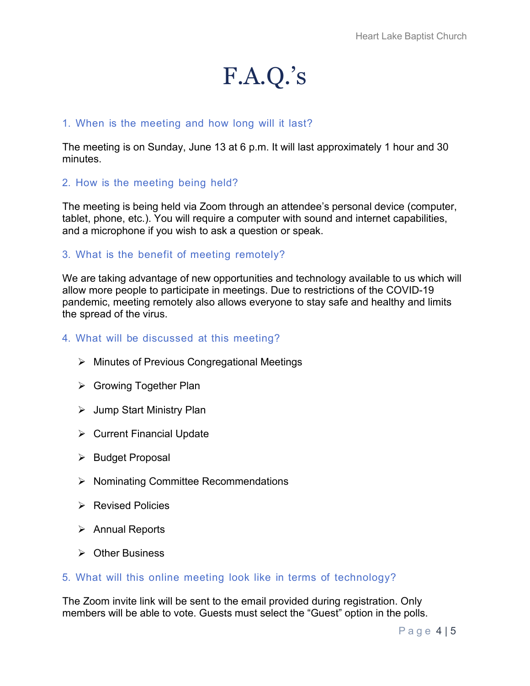## F.A.Q.'s

### 1. When is the meeting and how long will it last?

The meeting is on Sunday, June 13 at 6 p.m. It will last approximately 1 hour and 30 minutes.

### 2. How is the meeting being held?

The meeting is being held via Zoom through an attendee's personal device (computer, tablet, phone, etc.). You will require a computer with sound and internet capabilities, and a microphone if you wish to ask a question or speak.

### 3. What is the benefit of meeting remotely?

We are taking advantage of new opportunities and technology available to us which will allow more people to participate in meetings. Due to restrictions of the COVID-19 pandemic, meeting remotely also allows everyone to stay safe and healthy and limits the spread of the virus.

### 4. What will be discussed at this meeting?

- Minutes of Previous Congregational Meetings
- **► Growing Together Plan**
- **▶** Jump Start Ministry Plan
- $\triangleright$  Current Financial Update
- $\triangleright$  Budget Proposal
- $\triangleright$  Nominating Committee Recommendations
- **EXEC** Policies Revised Policies
- **▶ Annual Reports**
- Other Business

#### 5. What will this online meeting look like in terms of technology?

The Zoom invite link will be sent to the email provided during registration. Only members will be able to vote. Guests must select the "Guest" option in the polls.